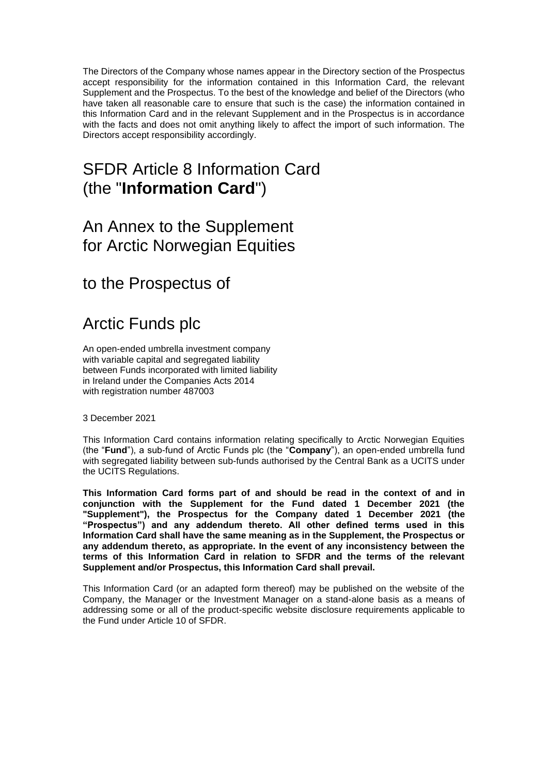The Directors of the Company whose names appear in the Directory section of the Prospectus accept responsibility for the information contained in this Information Card, the relevant Supplement and the Prospectus. To the best of the knowledge and belief of the Directors (who have taken all reasonable care to ensure that such is the case) the information contained in this Information Card and in the relevant Supplement and in the Prospectus is in accordance with the facts and does not omit anything likely to affect the import of such information. The Directors accept responsibility accordingly.

# SFDR Article 8 Information Card (the "**Information Card**")

## An Annex to the Supplement for Arctic Norwegian Equities

to the Prospectus of

# Arctic Funds plc

An open-ended umbrella investment company with variable capital and segregated liability between Funds incorporated with limited liability in Ireland under the Companies Acts 2014 with registration number 487003

3 December 2021

This Information Card contains information relating specifically to Arctic Norwegian Equities (the "**Fund**"), a sub-fund of Arctic Funds plc (the "**Company**"), an open-ended umbrella fund with segregated liability between sub-funds authorised by the Central Bank as a UCITS under the UCITS Regulations.

**This Information Card forms part of and should be read in the context of and in conjunction with the Supplement for the Fund dated 1 December 2021 (the "Supplement"), the Prospectus for the Company dated 1 December 2021 (the "Prospectus") and any addendum thereto. All other defined terms used in this Information Card shall have the same meaning as in the Supplement, the Prospectus or any addendum thereto, as appropriate. In the event of any inconsistency between the terms of this Information Card in relation to SFDR and the terms of the relevant Supplement and/or Prospectus, this Information Card shall prevail.**

This Information Card (or an adapted form thereof) may be published on the website of the Company, the Manager or the Investment Manager on a stand-alone basis as a means of addressing some or all of the product-specific website disclosure requirements applicable to the Fund under Article 10 of SFDR.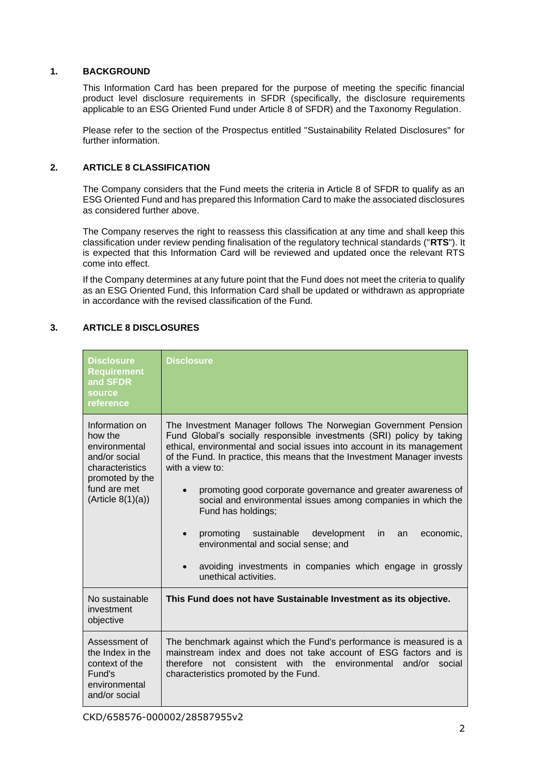#### **1. BACKGROUND**

This Information Card has been prepared for the purpose of meeting the specific financial product level disclosure requirements in SFDR (specifically, the disclosure requirements applicable to an ESG Oriented Fund under Article 8 of SFDR) and the Taxonomy Regulation.

Please refer to the section of the Prospectus entitled "Sustainability Related Disclosures" for further information.

### **2. ARTICLE 8 CLASSIFICATION**

The Company considers that the Fund meets the criteria in Article 8 of SFDR to qualify as an ESG Oriented Fund and has prepared this Information Card to make the associated disclosures as considered further above.

The Company reserves the right to reassess this classification at any time and shall keep this classification under review pending finalisation of the regulatory technical standards ("**RTS**"). It is expected that this Information Card will be reviewed and updated once the relevant RTS come into effect.

If the Company determines at any future point that the Fund does not meet the criteria to qualify as an ESG Oriented Fund, this Information Card shall be updated or withdrawn as appropriate in accordance with the revised classification of the Fund.

### **3. ARTICLE 8 DISCLOSURES**

| <b>Disclosure</b><br><b>Requirement</b><br>and SFDR<br>source<br>reference                                                              | <b>Disclosure</b>                                                                                                                                                                                                                                                                                                                                                                                                                                                                                                                                                                                                                                                          |
|-----------------------------------------------------------------------------------------------------------------------------------------|----------------------------------------------------------------------------------------------------------------------------------------------------------------------------------------------------------------------------------------------------------------------------------------------------------------------------------------------------------------------------------------------------------------------------------------------------------------------------------------------------------------------------------------------------------------------------------------------------------------------------------------------------------------------------|
| Information on<br>how the<br>environmental<br>and/or social<br>characteristics<br>promoted by the<br>fund are met<br>(Ariticle 8(1)(a)) | The Investment Manager follows The Norwegian Government Pension<br>Fund Global's socially responsible investments (SRI) policy by taking<br>ethical, environmental and social issues into account in its management<br>of the Fund. In practice, this means that the Investment Manager invests<br>with a view to:<br>promoting good corporate governance and greater awareness of<br>social and environmental issues among companies in which the<br>Fund has holdings;<br>promoting<br>sustainable<br>development<br>economic,<br>in.<br>an<br>environmental and social sense; and<br>avoiding investments in companies which engage in grossly<br>unethical activities. |
| No sustainable<br>investment<br>objective                                                                                               | This Fund does not have Sustainable Investment as its objective.                                                                                                                                                                                                                                                                                                                                                                                                                                                                                                                                                                                                           |
| Assessment of<br>the Index in the<br>context of the<br>Fund's<br>environmental<br>and/or social                                         | The benchmark against which the Fund's performance is measured is a<br>mainstream index and does not take account of ESG factors and is<br>not consistent with the environmental<br>and/or<br>therefore<br>social<br>characteristics promoted by the Fund.                                                                                                                                                                                                                                                                                                                                                                                                                 |